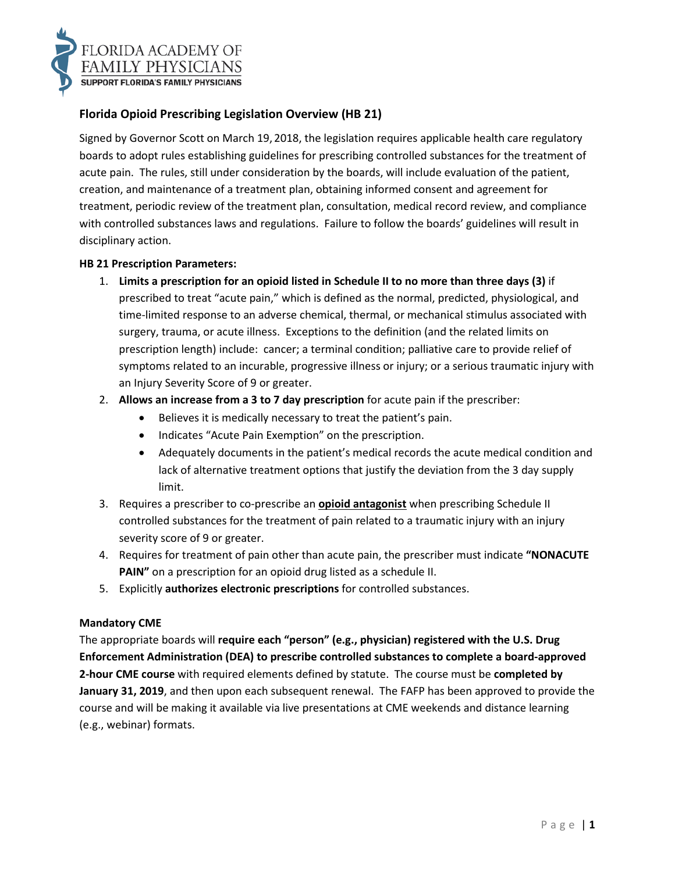

# **Florida Opioid Prescribing Legislation Overview (HB 21)**

Signed by Governor Scott on March 19, 2018, the legislation requires applicable health care regulatory boards to adopt rules establishing guidelines for prescribing controlled substances for the treatment of acute pain. The rules, still under consideration by the boards, will include evaluation of the patient, creation, and maintenance of a treatment plan, obtaining informed consent and agreement for treatment, periodic review of the treatment plan, consultation, medical record review, and compliance with controlled substances laws and regulations. Failure to follow the boards' guidelines will result in disciplinary action.

### **HB 21 Prescription Parameters:**

- 1. **Limits a prescription for an opioid listed in Schedule II to no more than three days (3)** if prescribed to treat "acute pain," which is defined as the normal, predicted, physiological, and time-limited response to an adverse chemical, thermal, or mechanical stimulus associated with surgery, trauma, or acute illness. Exceptions to the definition (and the related limits on prescription length) include: cancer; a terminal condition; palliative care to provide relief of symptoms related to an incurable, progressive illness or injury; or a serious traumatic injury with an Injury Severity Score of 9 or greater.
- 2. **Allows an increase from a 3 to 7 day prescription** for acute pain if the prescriber:
	- Believes it is medically necessary to treat the patient's pain.
	- Indicates "Acute Pain Exemption" on the prescription.
	- Adequately documents in the patient's medical records the acute medical condition and lack of alternative treatment options that justify the deviation from the 3 day supply limit.
- 3. Requires a prescriber to co-prescribe an **opioid antagonist** when prescribing Schedule II controlled substances for the treatment of pain related to a traumatic injury with an injury severity score of 9 or greater.
- 4. Requires for treatment of pain other than acute pain, the prescriber must indicate **"NONACUTE PAIN"** on a prescription for an opioid drug listed as a schedule II.
- 5. Explicitly **authorizes electronic prescriptions** for controlled substances.

### **Mandatory CME**

The appropriate boards will **require each "person" (e.g., physician) registered with the U.S. Drug Enforcement Administration (DEA) to prescribe controlled substances to complete a board-approved 2-hour CME course** with required elements defined by statute. The course must be **completed by January 31, 2019**, and then upon each subsequent renewal. The FAFP has been approved to provide the course and will be making it available via live presentations at CME weekends and distance learning (e.g., webinar) formats.